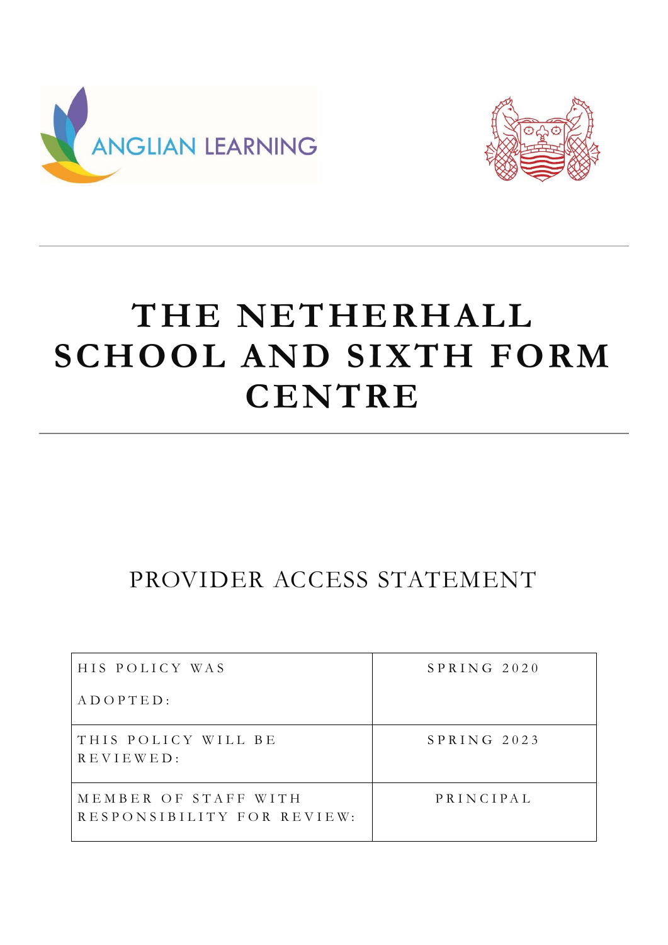



# **THE NETHERHALL SCHOOL AND SIXTH FORM CENTRE**

# PROVIDER ACCESS STATEMENT

| HIS POLICY WAS                                     | SPRING 2020 |
|----------------------------------------------------|-------------|
| $A D O P T E D$ :                                  |             |
| THIS POLICY WILL BE<br>REVIEWED:                   | SPRING 2023 |
| MEMBER OF STAFF WITH<br>RESPONSIBILITY FOR REVIEW: | PRINCIPAL   |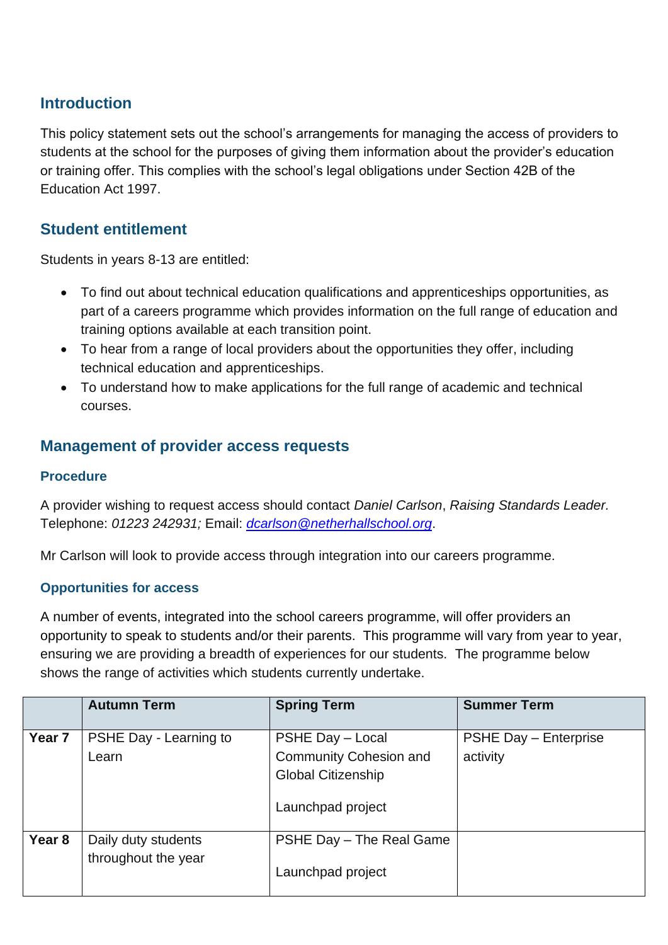#### **Introduction**

This policy statement sets out the school's arrangements for managing the access of providers to students at the school for the purposes of giving them information about the provider's education or training offer. This complies with the school's legal obligations under Section 42B of the Education Act 1997.

#### **Student entitlement**

Students in years 8-13 are entitled:

- To find out about technical education qualifications and apprenticeships opportunities, as part of a careers programme which provides information on the full range of education and training options available at each transition point.
- To hear from a range of local providers about the opportunities they offer, including technical education and apprenticeships.
- To understand how to make applications for the full range of academic and technical courses.

### **Management of provider access requests**

#### **Procedure**

A provider wishing to request access should contact *Daniel Carlson*, *Raising Standards Leader.*  Telephone: *01223 242931;* Email: *[dcarlson@netherhallschool.org](mailto:dcarlson@netherhallschool.org)*.

Mr Carlson will look to provide access through integration into our careers programme.

#### **Opportunities for access**

A number of events, integrated into the school careers programme, will offer providers an opportunity to speak to students and/or their parents. This programme will vary from year to year, ensuring we are providing a breadth of experiences for our students. The programme below shows the range of activities which students currently undertake.

|                   | <b>Autumn Term</b>                         | <b>Spring Term</b>                                                                                  | <b>Summer Term</b>                       |
|-------------------|--------------------------------------------|-----------------------------------------------------------------------------------------------------|------------------------------------------|
| Year <sub>7</sub> | PSHE Day - Learning to<br>Learn            | PSHE Day - Local<br><b>Community Cohesion and</b><br><b>Global Citizenship</b><br>Launchpad project | <b>PSHE Day - Enterprise</b><br>activity |
| Year <sub>8</sub> | Daily duty students<br>throughout the year | PSHE Day - The Real Game<br>Launchpad project                                                       |                                          |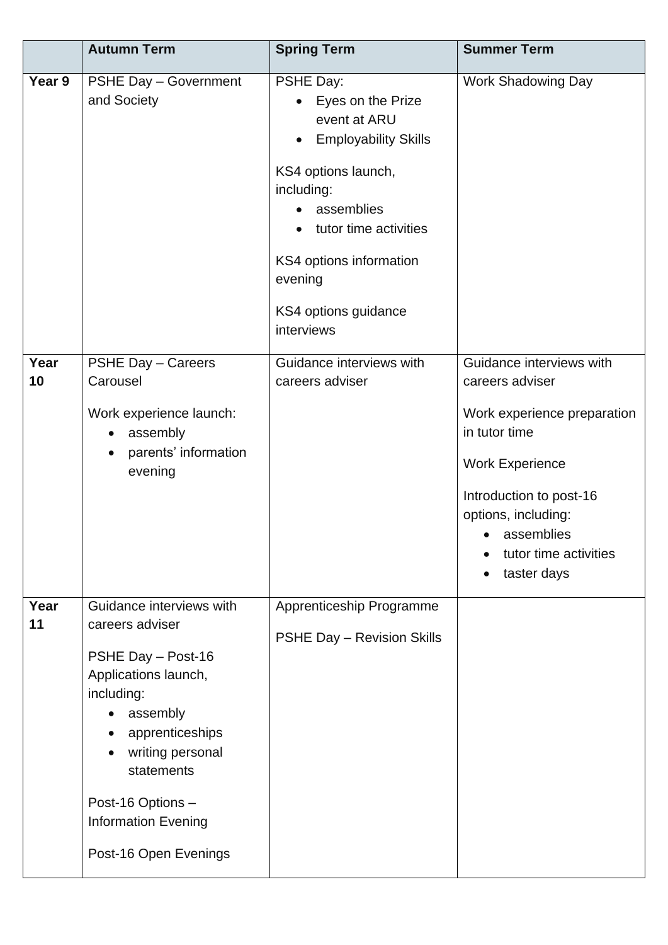|            | <b>Autumn Term</b>                                                                                                                                                                                                                                   | <b>Spring Term</b>                                                                                                                                                                                                                                 | <b>Summer Term</b>                                                                                                                                                                                                            |
|------------|------------------------------------------------------------------------------------------------------------------------------------------------------------------------------------------------------------------------------------------------------|----------------------------------------------------------------------------------------------------------------------------------------------------------------------------------------------------------------------------------------------------|-------------------------------------------------------------------------------------------------------------------------------------------------------------------------------------------------------------------------------|
| Year 9     | <b>PSHE Day - Government</b><br>and Society                                                                                                                                                                                                          | PSHE Day:<br>Eyes on the Prize<br>event at ARU<br><b>Employability Skills</b><br>KS4 options launch,<br>including:<br>assemblies<br>tutor time activities<br>$\bullet$<br>KS4 options information<br>evening<br>KS4 options guidance<br>interviews | <b>Work Shadowing Day</b>                                                                                                                                                                                                     |
| Year<br>10 | PSHE Day - Careers<br>Carousel<br>Work experience launch:<br>assembly<br>$\bullet$<br>parents' information<br>$\bullet$<br>evening                                                                                                                   | Guidance interviews with<br>careers adviser                                                                                                                                                                                                        | Guidance interviews with<br>careers adviser<br>Work experience preparation<br>in tutor time<br><b>Work Experience</b><br>Introduction to post-16<br>options, including:<br>assemblies<br>tutor time activities<br>taster days |
| Year<br>11 | Guidance interviews with<br>careers adviser<br>PSHE Day - Post-16<br>Applications launch,<br>including:<br>assembly<br>apprenticeships<br>writing personal<br>statements<br>Post-16 Options -<br><b>Information Evening</b><br>Post-16 Open Evenings | Apprenticeship Programme<br>PSHE Day - Revision Skills                                                                                                                                                                                             |                                                                                                                                                                                                                               |